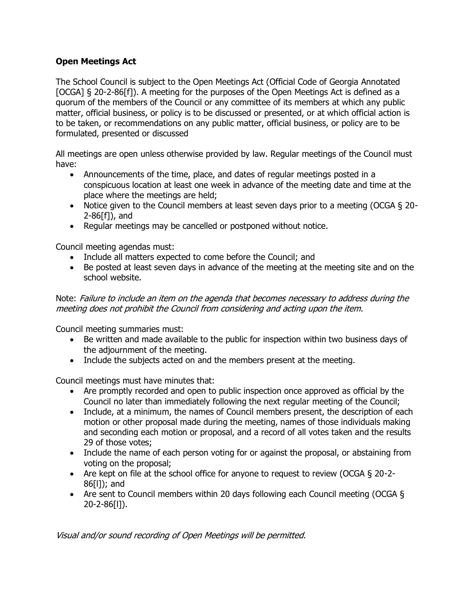## **Open Meetings Act**

The School Council is subject to the Open Meetings Act (Official Code of Georgia Annotated [OCGA] § 20-2-86[f]). A meeting for the purposes of the Open Meetings Act is defined as a quorum of the members of the Council or any committee of its members at which any public matter, official business, or policy is to be discussed or presented, or at which official action is to be taken, or recommendations on any public matter, official business, or policy are to be formulated, presented or discussed

All meetings are open unless otherwise provided by law. Regular meetings of the Council must have:

- Announcements of the time, place, and dates of regular meetings posted in a conspicuous location at least one week in advance of the meeting date and time at the place where the meetings are held;
- Notice given to the Council members at least seven days prior to a meeting (OCGA § 20-2-86[f]), and
- Regular meetings may be cancelled or postponed without notice.

Council meeting agendas must:

- Include all matters expected to come before the Council; and
- Be posted at least seven days in advance of the meeting at the meeting site and on the school website.

Note: Failure to include an item on the agenda that becomes necessary to address during the meeting does not prohibit the Council from considering and acting upon the item.

Council meeting summaries must:

- Be written and made available to the public for inspection within two business days of the adjournment of the meeting.
- Include the subjects acted on and the members present at the meeting.

Council meetings must have minutes that:

- Are promptly recorded and open to public inspection once approved as official by the Council no later than immediately following the next regular meeting of the Council;
- Include, at a minimum, the names of Council members present, the description of each motion or other proposal made during the meeting, names of those individuals making and seconding each motion or proposal, and a record of all votes taken and the results 29 of those votes;
- Include the name of each person voting for or against the proposal, or abstaining from voting on the proposal;
- Are kept on file at the school office for anyone to request to review (OCGA § 20-2- 86[l]); and
- Are sent to Council members within 20 days following each Council meeting (OCGA § 20-2-86[l]).

Visual and/or sound recording of Open Meetings will be permitted.